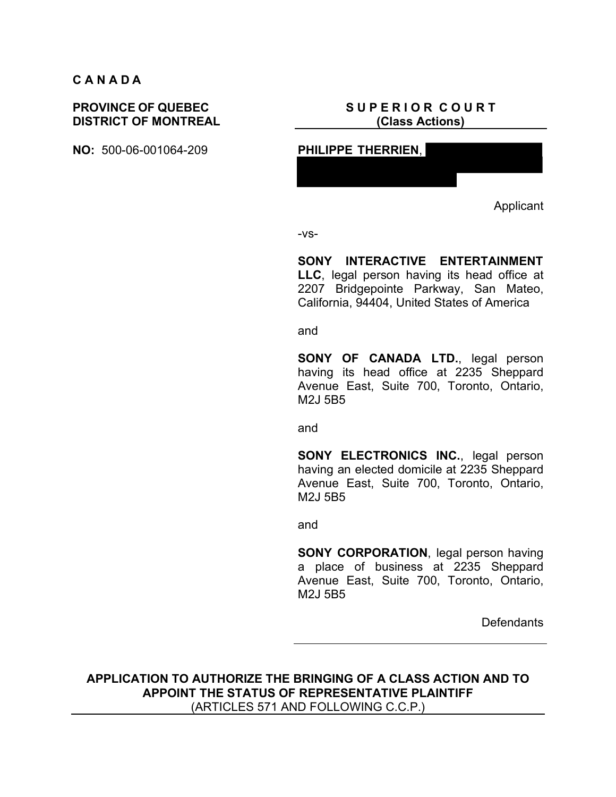#### **C A N A D A**

#### **PROVINCE OF QUEBEC DISTRICT OF MONTREAL**

#### **S U P E R I O R C O U R T (Class Actions)**



Applicant

-vs-

**SONY INTERACTIVE ENTERTAINMENT LLC**, legal person having its head office at 2207 Bridgepointe Parkway, San Mateo, California, 94404, United States of America

and

**SONY OF CANADA LTD.**, legal person having its head office at 2235 Sheppard Avenue East, Suite 700, Toronto, Ontario, M2J 5B5

and

**SONY ELECTRONICS INC., legal person** having an elected domicile at 2235 Sheppard Avenue East, Suite 700, Toronto, Ontario, M2J 5B5

and

**SONY CORPORATION**, legal person having a place of business at 2235 Sheppard Avenue East, Suite 700, Toronto, Ontario, M2J 5B5

**Defendants** 

**APPLICATION TO AUTHORIZE THE BRINGING OF A CLASS ACTION AND TO APPOINT THE STATUS OF REPRESENTATIVE PLAINTIFF** (ARTICLES 571 AND FOLLOWING C.C.P.)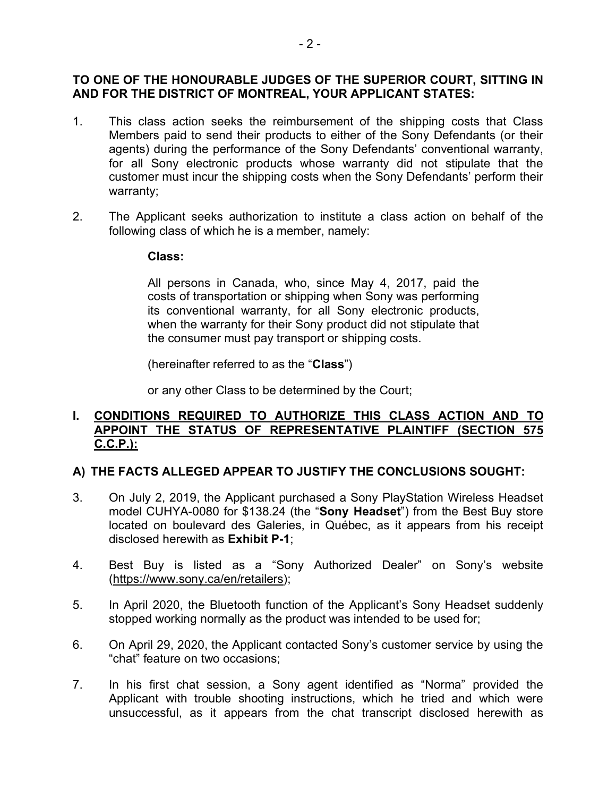#### **TO ONE OF THE HONOURABLE JUDGES OF THE SUPERIOR COURT, SITTING IN AND FOR THE DISTRICT OF MONTREAL, YOUR APPLICANT STATES:**

- 1. This class action seeks the reimbursement of the shipping costs that Class Members paid to send their products to either of the Sony Defendants (or their agents) during the performance of the Sony Defendants' conventional warranty, for all Sony electronic products whose warranty did not stipulate that the customer must incur the shipping costs when the Sony Defendants' perform their warranty;
- 2. The Applicant seeks authorization to institute a class action on behalf of the following class of which he is a member, namely:

#### **Class:**

All persons in Canada, who, since May 4, 2017, paid the costs of transportation or shipping when Sony was performing its conventional warranty, for all Sony electronic products, when the warranty for their Sony product did not stipulate that the consumer must pay transport or shipping costs.

(hereinafter referred to as the "**Class**")

or any other Class to be determined by the Court;

#### **I. CONDITIONS REQUIRED TO AUTHORIZE THIS CLASS ACTION AND TO APPOINT THE STATUS OF REPRESENTATIVE PLAINTIFF (SECTION 575 C.C.P.):**

#### **A) THE FACTS ALLEGED APPEAR TO JUSTIFY THE CONCLUSIONS SOUGHT:**

- 3. On July 2, 2019, the Applicant purchased a Sony PlayStation Wireless Headset model CUHYA-0080 for \$138.24 (the "**Sony Headset**") from the Best Buy store located on boulevard des Galeries, in Québec, as it appears from his receipt disclosed herewith as **Exhibit P-1**;
- 4. Best Buy is listed as a "Sony Authorized Dealer" on Sony's website (https://www.sony.ca/en/retailers);
- 5. In April 2020, the Bluetooth function of the Applicant's Sony Headset suddenly stopped working normally as the product was intended to be used for;
- 6. On April 29, 2020, the Applicant contacted Sony's customer service by using the "chat" feature on two occasions;
- 7. In his first chat session, a Sony agent identified as "Norma" provided the Applicant with trouble shooting instructions, which he tried and which were unsuccessful, as it appears from the chat transcript disclosed herewith as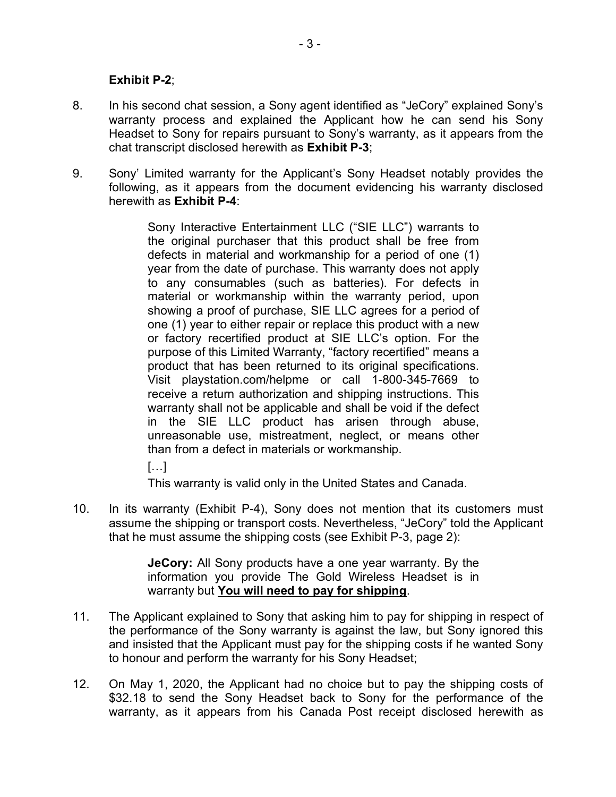#### **Exhibit P-2**;

- 8. In his second chat session, a Sony agent identified as "JeCory" explained Sony's warranty process and explained the Applicant how he can send his Sony Headset to Sony for repairs pursuant to Sony's warranty, as it appears from the chat transcript disclosed herewith as **Exhibit P-3**;
- 9. Sony' Limited warranty for the Applicant's Sony Headset notably provides the following, as it appears from the document evidencing his warranty disclosed herewith as **Exhibit P-4**:

Sony Interactive Entertainment LLC ("SIE LLC") warrants to the original purchaser that this product shall be free from defects in material and workmanship for a period of one (1) year from the date of purchase. This warranty does not apply to any consumables (such as batteries). For defects in material or workmanship within the warranty period, upon showing a proof of purchase, SIE LLC agrees for a period of one (1) year to either repair or replace this product with a new or factory recertified product at SIE LLC's option. For the purpose of this Limited Warranty, "factory recertified" means a product that has been returned to its original specifications. Visit playstation.com/helpme or call 1-800-345-7669 to receive a return authorization and shipping instructions. This warranty shall not be applicable and shall be void if the defect in the SIE LLC product has arisen through abuse, unreasonable use, mistreatment, neglect, or means other than from a defect in materials or workmanship.

 $[...]$ 

This warranty is valid only in the United States and Canada.

10. In its warranty (Exhibit P-4), Sony does not mention that its customers must assume the shipping or transport costs. Nevertheless, "JeCory" told the Applicant that he must assume the shipping costs (see Exhibit P-3, page 2):

> **JeCory:** All Sony products have a one year warranty. By the information you provide The Gold Wireless Headset is in warranty but **You will need to pay for shipping**.

- 11. The Applicant explained to Sony that asking him to pay for shipping in respect of the performance of the Sony warranty is against the law, but Sony ignored this and insisted that the Applicant must pay for the shipping costs if he wanted Sony to honour and perform the warranty for his Sony Headset;
- 12. On May 1, 2020, the Applicant had no choice but to pay the shipping costs of \$32.18 to send the Sony Headset back to Sony for the performance of the warranty, as it appears from his Canada Post receipt disclosed herewith as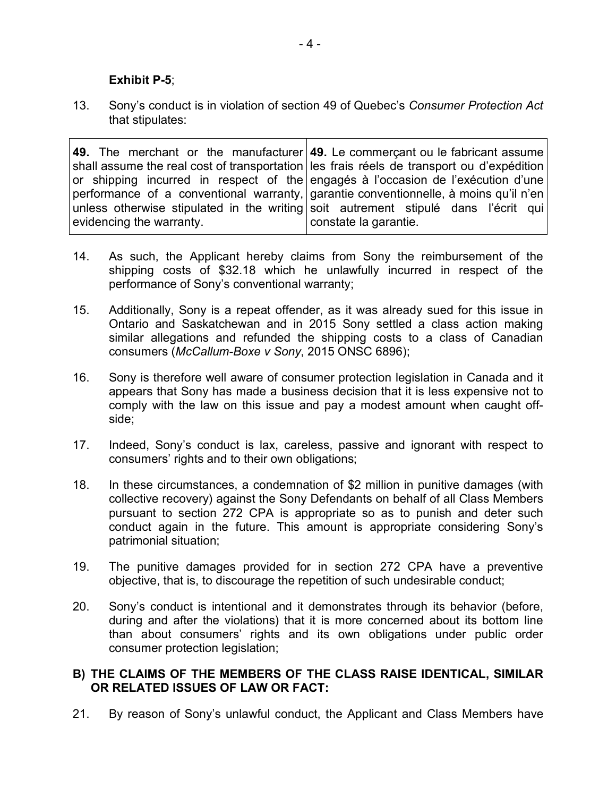#### **Exhibit P-5**;

13. Sony's conduct is in violation of section 49 of Quebec's *Consumer Protection Act* that stipulates:

**49.** The merchant or the manufacturer **49.** Le commerçant ou le fabricant assume shall assume the real cost of transportation or shipping incurred in respect of the performance of a conventional warranty, unless otherwise stipulated in the writing evidencing the warranty. les frais réels de transport ou d'expédition engagés à l'occasion de l'exécution d'une garantie conventionnelle, à moins qu'il n'en soit autrement stipulé dans l'écrit qui constate la garantie.

- 14. As such, the Applicant hereby claims from Sony the reimbursement of the shipping costs of \$32.18 which he unlawfully incurred in respect of the performance of Sony's conventional warranty;
- 15. Additionally, Sony is a repeat offender, as it was already sued for this issue in Ontario and Saskatchewan and in 2015 Sony settled a class action making similar allegations and refunded the shipping costs to a class of Canadian consumers (*McCallum-Boxe v Sony*, 2015 ONSC 6896);
- 16. Sony is therefore well aware of consumer protection legislation in Canada and it appears that Sony has made a business decision that it is less expensive not to comply with the law on this issue and pay a modest amount when caught offside;
- 17. Indeed, Sony's conduct is lax, careless, passive and ignorant with respect to consumers' rights and to their own obligations;
- 18. In these circumstances, a condemnation of \$2 million in punitive damages (with collective recovery) against the Sony Defendants on behalf of all Class Members pursuant to section 272 CPA is appropriate so as to punish and deter such conduct again in the future. This amount is appropriate considering Sony's patrimonial situation;
- 19. The punitive damages provided for in section 272 CPA have a preventive objective, that is, to discourage the repetition of such undesirable conduct;
- 20. Sony's conduct is intentional and it demonstrates through its behavior (before, during and after the violations) that it is more concerned about its bottom line than about consumers' rights and its own obligations under public order consumer protection legislation;

#### **B) THE CLAIMS OF THE MEMBERS OF THE CLASS RAISE IDENTICAL, SIMILAR OR RELATED ISSUES OF LAW OR FACT:**

21. By reason of Sony's unlawful conduct, the Applicant and Class Members have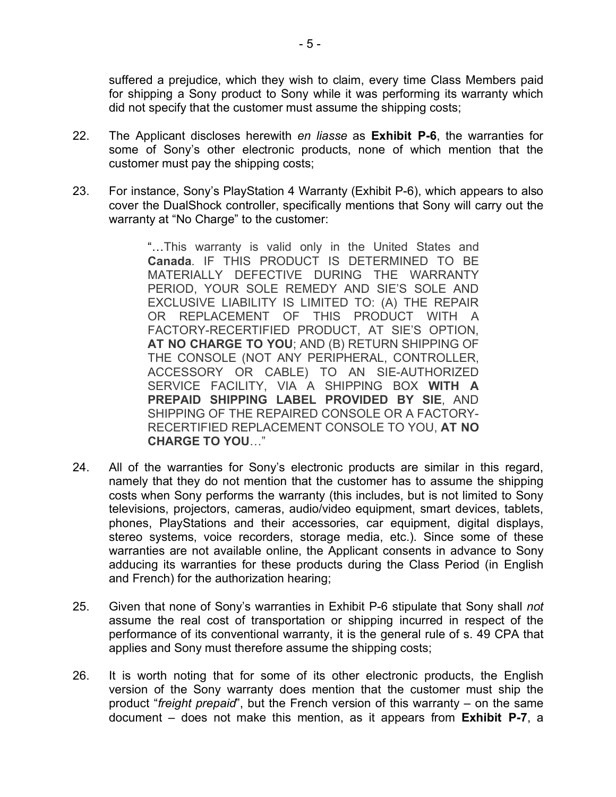suffered a prejudice, which they wish to claim, every time Class Members paid for shipping a Sony product to Sony while it was performing its warranty which did not specify that the customer must assume the shipping costs;

- 22. The Applicant discloses herewith *en liasse* as **Exhibit P-6**, the warranties for some of Sony's other electronic products, none of which mention that the customer must pay the shipping costs;
- 23. For instance, Sony's PlayStation 4 Warranty (Exhibit P-6), which appears to also cover the DualShock controller, specifically mentions that Sony will carry out the warranty at "No Charge" to the customer:

"…This warranty is valid only in the United States and **Canada**. IF THIS PRODUCT IS DETERMINED TO BE MATERIALLY DEFECTIVE DURING THE WARRANTY PERIOD, YOUR SOLE REMEDY AND SIE'S SOLE AND EXCLUSIVE LIABILITY IS LIMITED TO: (A) THE REPAIR OR REPLACEMENT OF THIS PRODUCT WITH A FACTORY-RECERTIFIED PRODUCT, AT SIE'S OPTION, **AT NO CHARGE TO YOU**; AND (B) RETURN SHIPPING OF THE CONSOLE (NOT ANY PERIPHERAL, CONTROLLER, ACCESSORY OR CABLE) TO AN SIE-AUTHORIZED SERVICE FACILITY, VIA A SHIPPING BOX **WITH A PREPAID SHIPPING LABEL PROVIDED BY SIE**, AND SHIPPING OF THE REPAIRED CONSOLE OR A FACTORY-RECERTIFIED REPLACEMENT CONSOLE TO YOU, **AT NO CHARGE TO YOU**…"

- 24. All of the warranties for Sony's electronic products are similar in this regard, namely that they do not mention that the customer has to assume the shipping costs when Sony performs the warranty (this includes, but is not limited to Sony televisions, projectors, cameras, audio/video equipment, smart devices, tablets, phones, PlayStations and their accessories, car equipment, digital displays, stereo systems, voice recorders, storage media, etc.). Since some of these warranties are not available online, the Applicant consents in advance to Sony adducing its warranties for these products during the Class Period (in English and French) for the authorization hearing;
- 25. Given that none of Sony's warranties in Exhibit P-6 stipulate that Sony shall *not* assume the real cost of transportation or shipping incurred in respect of the performance of its conventional warranty, it is the general rule of s. 49 CPA that applies and Sony must therefore assume the shipping costs;
- 26. It is worth noting that for some of its other electronic products, the English version of the Sony warranty does mention that the customer must ship the product "*freight prepaid*", but the French version of this warranty – on the same document – does not make this mention, as it appears from **Exhibit P-7**, a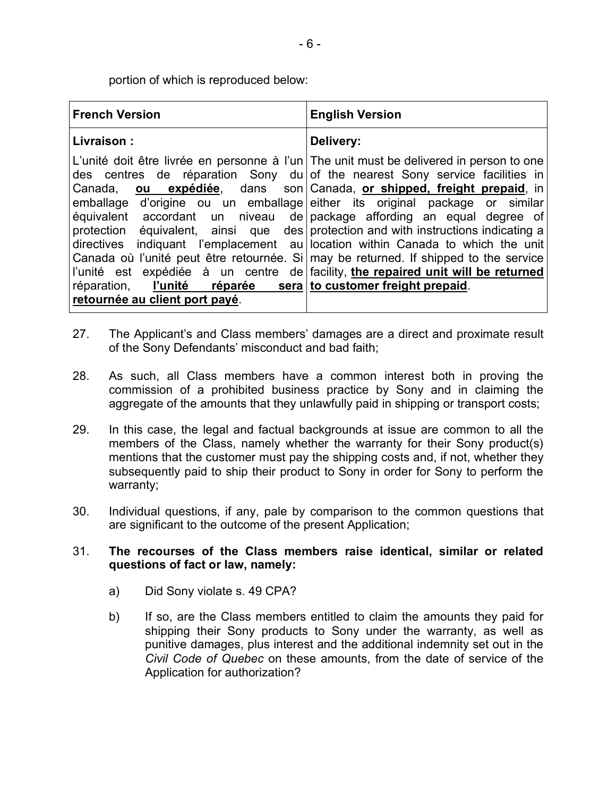portion of which is reproduced below:

| <b>French Version</b>                                    | <b>English Version</b>                                                                                                                                                                                                                                                                                                                                                                                                                                                                                                                                                                                                                                                                                                                                                                                         |
|----------------------------------------------------------|----------------------------------------------------------------------------------------------------------------------------------------------------------------------------------------------------------------------------------------------------------------------------------------------------------------------------------------------------------------------------------------------------------------------------------------------------------------------------------------------------------------------------------------------------------------------------------------------------------------------------------------------------------------------------------------------------------------------------------------------------------------------------------------------------------------|
| Livraison:                                               | Delivery:                                                                                                                                                                                                                                                                                                                                                                                                                                                                                                                                                                                                                                                                                                                                                                                                      |
| Canada,<br>réparation,<br>retournée au client port payé. | L'unité doit être livrée en personne à l'un The unit must be delivered in person to one<br>des centres de réparation Sony du of the nearest Sony service facilities in<br>ou expédiée, dans son   Canada, or shipped, freight prepaid, in<br>emballage d'origine ou un emballage either its original package or similar<br>équivalent accordant un niveau de package affording an equal degree of<br>protection équivalent, ainsi que des protection and with instructions indicating a<br>directives indiquant l'emplacement au location within Canada to which the unit<br>Canada où l'unité peut être retournée. Si may be returned. If shipped to the service<br>l'unité est expédiée à un centre de facility, the repaired unit will be returned<br>$l'unit\'e$ réparée sera to customer freight prepaid. |
|                                                          |                                                                                                                                                                                                                                                                                                                                                                                                                                                                                                                                                                                                                                                                                                                                                                                                                |

- 27. The Applicant's and Class members' damages are a direct and proximate result of the Sony Defendants' misconduct and bad faith;
- 28. As such, all Class members have a common interest both in proving the commission of a prohibited business practice by Sony and in claiming the aggregate of the amounts that they unlawfully paid in shipping or transport costs;
- 29. In this case, the legal and factual backgrounds at issue are common to all the members of the Class, namely whether the warranty for their Sony product(s) mentions that the customer must pay the shipping costs and, if not, whether they subsequently paid to ship their product to Sony in order for Sony to perform the warranty;
- 30. Individual questions, if any, pale by comparison to the common questions that are significant to the outcome of the present Application;

#### 31. **The recourses of the Class members raise identical, similar or related questions of fact or law, namely:**

- a) Did Sony violate s. 49 CPA?
- b) If so, are the Class members entitled to claim the amounts they paid for shipping their Sony products to Sony under the warranty, as well as punitive damages, plus interest and the additional indemnity set out in the *Civil Code of Quebec* on these amounts, from the date of service of the Application for authorization?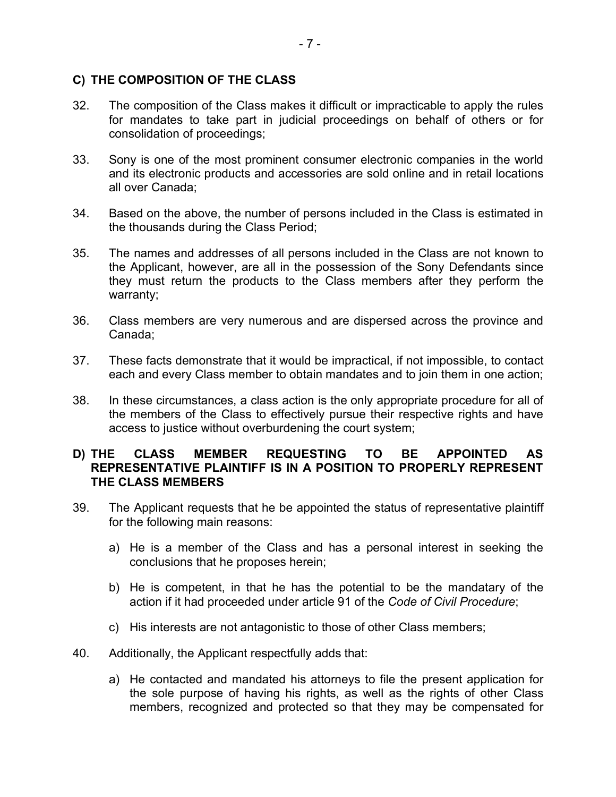#### **C) THE COMPOSITION OF THE CLASS**

- 32. The composition of the Class makes it difficult or impracticable to apply the rules for mandates to take part in judicial proceedings on behalf of others or for consolidation of proceedings;
- 33. Sony is one of the most prominent consumer electronic companies in the world and its electronic products and accessories are sold online and in retail locations all over Canada;
- 34. Based on the above, the number of persons included in the Class is estimated in the thousands during the Class Period;
- 35. The names and addresses of all persons included in the Class are not known to the Applicant, however, are all in the possession of the Sony Defendants since they must return the products to the Class members after they perform the warranty;
- 36. Class members are very numerous and are dispersed across the province and Canada;
- 37. These facts demonstrate that it would be impractical, if not impossible, to contact each and every Class member to obtain mandates and to join them in one action;
- 38. In these circumstances, a class action is the only appropriate procedure for all of the members of the Class to effectively pursue their respective rights and have access to justice without overburdening the court system;

#### **D) THE CLASS MEMBER REQUESTING TO BE APPOINTED AS REPRESENTATIVE PLAINTIFF IS IN A POSITION TO PROPERLY REPRESENT THE CLASS MEMBERS**

- 39. The Applicant requests that he be appointed the status of representative plaintiff for the following main reasons:
	- a) He is a member of the Class and has a personal interest in seeking the conclusions that he proposes herein;
	- b) He is competent, in that he has the potential to be the mandatary of the action if it had proceeded under article 91 of the *Code of Civil Procedure*;
	- c) His interests are not antagonistic to those of other Class members;
- 40. Additionally, the Applicant respectfully adds that:
	- a) He contacted and mandated his attorneys to file the present application for the sole purpose of having his rights, as well as the rights of other Class members, recognized and protected so that they may be compensated for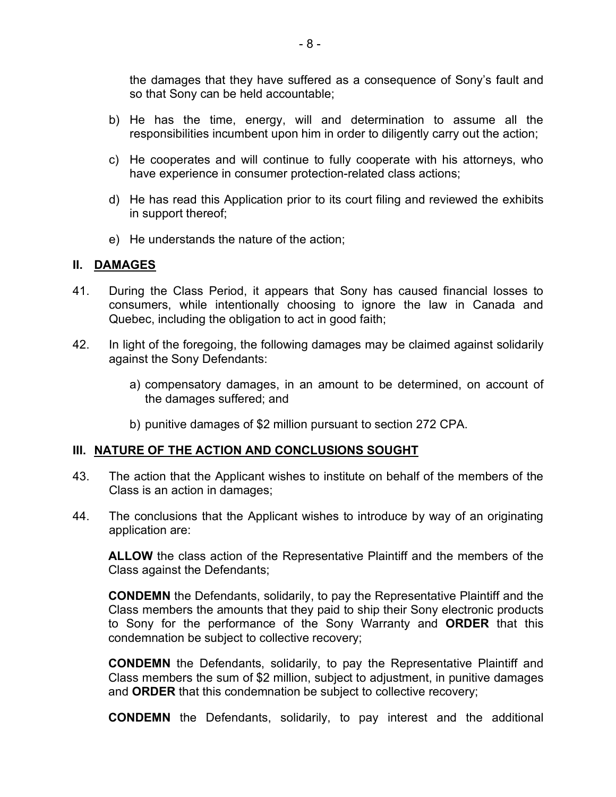the damages that they have suffered as a consequence of Sony's fault and so that Sony can be held accountable;

- b) He has the time, energy, will and determination to assume all the responsibilities incumbent upon him in order to diligently carry out the action;
- c) He cooperates and will continue to fully cooperate with his attorneys, who have experience in consumer protection-related class actions;
- d) He has read this Application prior to its court filing and reviewed the exhibits in support thereof;
- e) He understands the nature of the action;

#### **II. DAMAGES**

- 41. During the Class Period, it appears that Sony has caused financial losses to consumers, while intentionally choosing to ignore the law in Canada and Quebec, including the obligation to act in good faith;
- 42. In light of the foregoing, the following damages may be claimed against solidarily against the Sony Defendants:
	- a) compensatory damages, in an amount to be determined, on account of the damages suffered; and
	- b) punitive damages of \$2 million pursuant to section 272 CPA.

#### **III. NATURE OF THE ACTION AND CONCLUSIONS SOUGHT**

- 43. The action that the Applicant wishes to institute on behalf of the members of the Class is an action in damages;
- 44. The conclusions that the Applicant wishes to introduce by way of an originating application are:

**ALLOW** the class action of the Representative Plaintiff and the members of the Class against the Defendants;

**CONDEMN** the Defendants, solidarily, to pay the Representative Plaintiff and the Class members the amounts that they paid to ship their Sony electronic products to Sony for the performance of the Sony Warranty and **ORDER** that this condemnation be subject to collective recovery;

**CONDEMN** the Defendants, solidarily, to pay the Representative Plaintiff and Class members the sum of \$2 million, subject to adjustment, in punitive damages and **ORDER** that this condemnation be subject to collective recovery;

**CONDEMN** the Defendants, solidarily, to pay interest and the additional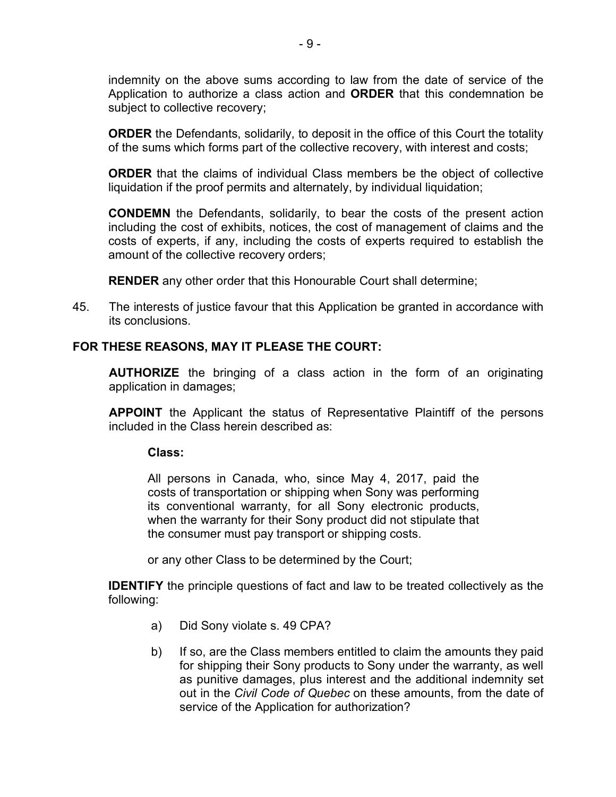indemnity on the above sums according to law from the date of service of the Application to authorize a class action and **ORDER** that this condemnation be subject to collective recovery;

**ORDER** the Defendants, solidarily, to deposit in the office of this Court the totality of the sums which forms part of the collective recovery, with interest and costs;

**ORDER** that the claims of individual Class members be the object of collective liquidation if the proof permits and alternately, by individual liquidation;

**CONDEMN** the Defendants, solidarily, to bear the costs of the present action including the cost of exhibits, notices, the cost of management of claims and the costs of experts, if any, including the costs of experts required to establish the amount of the collective recovery orders;

**RENDER** any other order that this Honourable Court shall determine;

45. The interests of justice favour that this Application be granted in accordance with its conclusions.

#### **FOR THESE REASONS, MAY IT PLEASE THE COURT:**

**AUTHORIZE** the bringing of a class action in the form of an originating application in damages;

**APPOINT** the Applicant the status of Representative Plaintiff of the persons included in the Class herein described as:

#### **Class:**

All persons in Canada, who, since May 4, 2017, paid the costs of transportation or shipping when Sony was performing its conventional warranty, for all Sony electronic products, when the warranty for their Sony product did not stipulate that the consumer must pay transport or shipping costs.

or any other Class to be determined by the Court;

**IDENTIFY** the principle questions of fact and law to be treated collectively as the following:

- a) Did Sony violate s. 49 CPA?
- b) If so, are the Class members entitled to claim the amounts they paid for shipping their Sony products to Sony under the warranty, as well as punitive damages, plus interest and the additional indemnity set out in the *Civil Code of Quebec* on these amounts, from the date of service of the Application for authorization?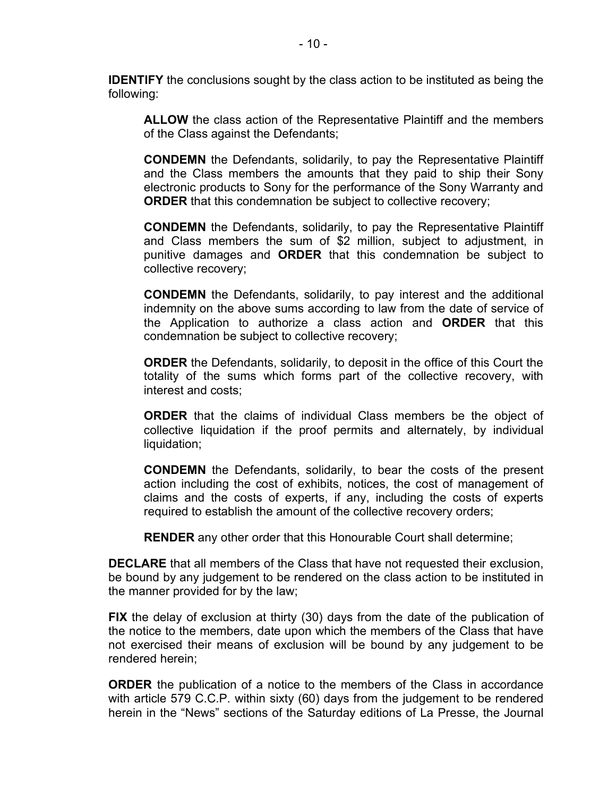**IDENTIFY** the conclusions sought by the class action to be instituted as being the following:

**ALLOW** the class action of the Representative Plaintiff and the members of the Class against the Defendants;

**CONDEMN** the Defendants, solidarily, to pay the Representative Plaintiff and the Class members the amounts that they paid to ship their Sony electronic products to Sony for the performance of the Sony Warranty and **ORDER** that this condemnation be subject to collective recovery;

**CONDEMN** the Defendants, solidarily, to pay the Representative Plaintiff and Class members the sum of \$2 million, subject to adjustment, in punitive damages and **ORDER** that this condemnation be subject to collective recovery;

**CONDEMN** the Defendants, solidarily, to pay interest and the additional indemnity on the above sums according to law from the date of service of the Application to authorize a class action and **ORDER** that this condemnation be subject to collective recovery;

**ORDER** the Defendants, solidarily, to deposit in the office of this Court the totality of the sums which forms part of the collective recovery, with interest and costs;

**ORDER** that the claims of individual Class members be the object of collective liquidation if the proof permits and alternately, by individual liquidation;

**CONDEMN** the Defendants, solidarily, to bear the costs of the present action including the cost of exhibits, notices, the cost of management of claims and the costs of experts, if any, including the costs of experts required to establish the amount of the collective recovery orders;

**RENDER** any other order that this Honourable Court shall determine;

**DECLARE** that all members of the Class that have not requested their exclusion, be bound by any judgement to be rendered on the class action to be instituted in the manner provided for by the law;

**FIX** the delay of exclusion at thirty (30) days from the date of the publication of the notice to the members, date upon which the members of the Class that have not exercised their means of exclusion will be bound by any judgement to be rendered herein;

**ORDER** the publication of a notice to the members of the Class in accordance with article 579 C.C.P. within sixty (60) days from the judgement to be rendered herein in the "News" sections of the Saturday editions of La Presse, the Journal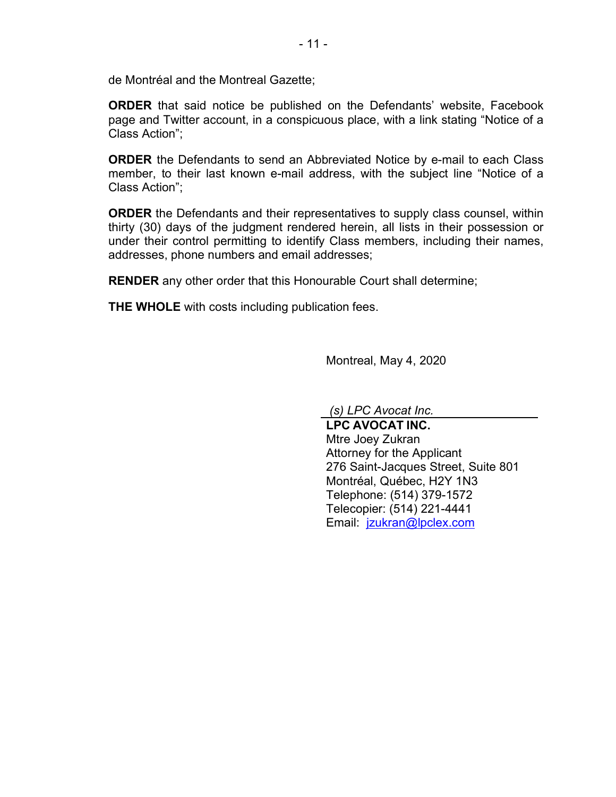de Montréal and the Montreal Gazette;

**ORDER** that said notice be published on the Defendants' website, Facebook page and Twitter account, in a conspicuous place, with a link stating "Notice of a Class Action";

**ORDER** the Defendants to send an Abbreviated Notice by e-mail to each Class member, to their last known e-mail address, with the subject line "Notice of a Class Action";

**ORDER** the Defendants and their representatives to supply class counsel, within thirty (30) days of the judgment rendered herein, all lists in their possession or under their control permitting to identify Class members, including their names, addresses, phone numbers and email addresses;

**RENDER** any other order that this Honourable Court shall determine;

**THE WHOLE** with costs including publication fees.

Montreal, May 4, 2020

*(s) LPC Avocat Inc.*

**LPC AVOCAT INC.** Mtre Joey Zukran Attorney for the Applicant 276 Saint-Jacques Street, Suite 801 Montréal, Québec, H2Y 1N3 Telephone: (514) 379-1572 Telecopier: (514) 221-4441 Email: jzukran@lpclex.com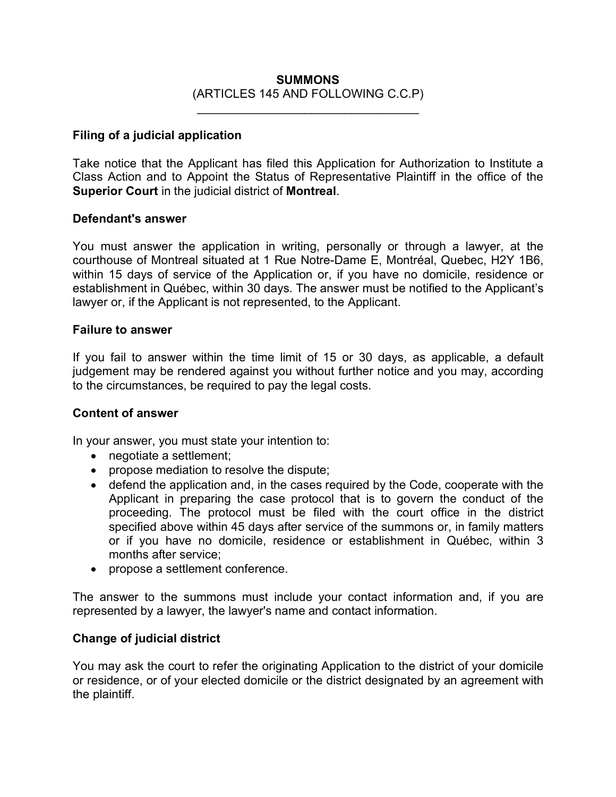#### **SUMMONS** (ARTICLES 145 AND FOLLOWING C.C.P)

\_\_\_\_\_\_\_\_\_\_\_\_\_\_\_\_\_\_\_\_\_\_\_\_\_\_\_\_\_\_\_\_\_

#### **Filing of a judicial application**

Take notice that the Applicant has filed this Application for Authorization to Institute a Class Action and to Appoint the Status of Representative Plaintiff in the office of the **Superior Court** in the judicial district of **Montreal**.

#### **Defendant's answer**

You must answer the application in writing, personally or through a lawyer, at the courthouse of Montreal situated at 1 Rue Notre-Dame E, Montréal, Quebec, H2Y 1B6, within 15 days of service of the Application or, if you have no domicile, residence or establishment in Québec, within 30 days. The answer must be notified to the Applicant's lawyer or, if the Applicant is not represented, to the Applicant.

#### **Failure to answer**

If you fail to answer within the time limit of 15 or 30 days, as applicable, a default judgement may be rendered against you without further notice and you may, according to the circumstances, be required to pay the legal costs.

#### **Content of answer**

In your answer, you must state your intention to:

- negotiate a settlement;
- propose mediation to resolve the dispute;
- defend the application and, in the cases required by the Code, cooperate with the Applicant in preparing the case protocol that is to govern the conduct of the proceeding. The protocol must be filed with the court office in the district specified above within 45 days after service of the summons or, in family matters or if you have no domicile, residence or establishment in Québec, within 3 months after service;
- propose a settlement conference.

The answer to the summons must include your contact information and, if you are represented by a lawyer, the lawyer's name and contact information.

#### **Change of judicial district**

You may ask the court to refer the originating Application to the district of your domicile or residence, or of your elected domicile or the district designated by an agreement with the plaintiff.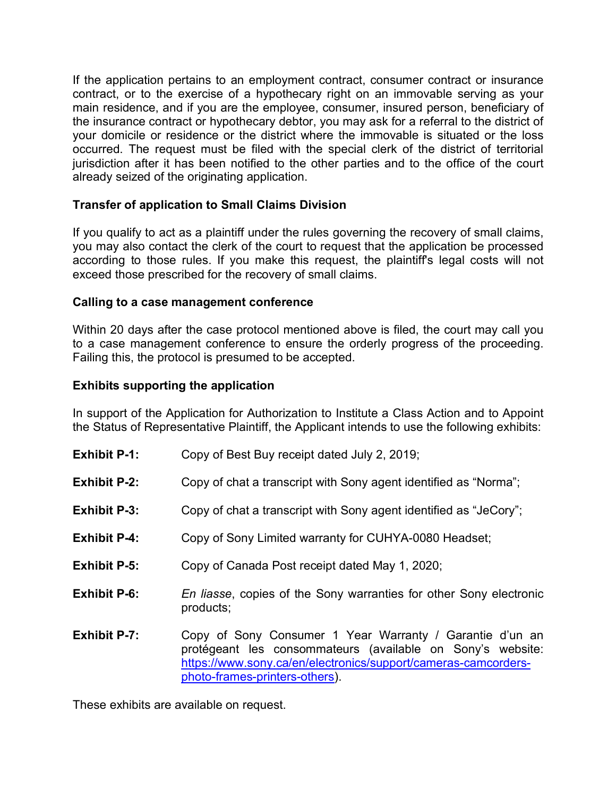If the application pertains to an employment contract, consumer contract or insurance contract, or to the exercise of a hypothecary right on an immovable serving as your main residence, and if you are the employee, consumer, insured person, beneficiary of the insurance contract or hypothecary debtor, you may ask for a referral to the district of your domicile or residence or the district where the immovable is situated or the loss occurred. The request must be filed with the special clerk of the district of territorial jurisdiction after it has been notified to the other parties and to the office of the court already seized of the originating application.

#### **Transfer of application to Small Claims Division**

If you qualify to act as a plaintiff under the rules governing the recovery of small claims, you may also contact the clerk of the court to request that the application be processed according to those rules. If you make this request, the plaintiff's legal costs will not exceed those prescribed for the recovery of small claims.

#### **Calling to a case management conference**

Within 20 days after the case protocol mentioned above is filed, the court may call you to a case management conference to ensure the orderly progress of the proceeding. Failing this, the protocol is presumed to be accepted.

#### **Exhibits supporting the application**

In support of the Application for Authorization to Institute a Class Action and to Appoint the Status of Representative Plaintiff, the Applicant intends to use the following exhibits:

| <b>Exhibit P-1:</b> | Copy of Best Buy receipt dated July 2, 2019; |
|---------------------|----------------------------------------------|
|---------------------|----------------------------------------------|

- **Exhibit P-2:** Copy of chat a transcript with Sony agent identified as "Norma";
- **Exhibit P-3:** Copy of chat a transcript with Sony agent identified as "JeCory";
- **Exhibit P-4:** Copy of Sony Limited warranty for CUHYA-0080 Headset;
- **Exhibit P-5:** Copy of Canada Post receipt dated May 1, 2020;
- **Exhibit P-6:** *En liasse*, copies of the Sony warranties for other Sony electronic products;
- **Exhibit P-7:** Copy of Sony Consumer 1 Year Warranty / Garantie d'un an protégeant les consommateurs (available on Sony's website: https://www.sony.ca/en/electronics/support/cameras-camcordersphoto-frames-printers-others).

These exhibits are available on request.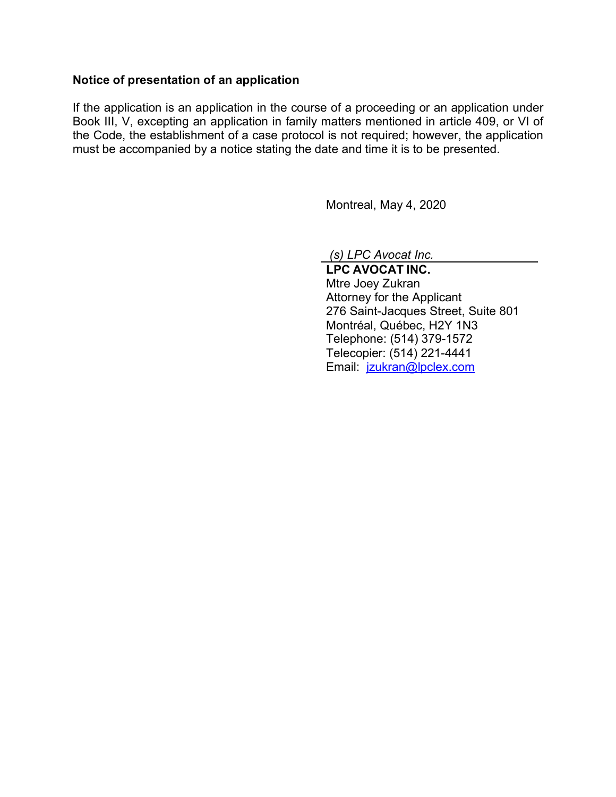#### **Notice of presentation of an application**

If the application is an application in the course of a proceeding or an application under Book III, V, excepting an application in family matters mentioned in article 409, or VI of the Code, the establishment of a case protocol is not required; however, the application must be accompanied by a notice stating the date and time it is to be presented.

Montreal, May 4, 2020

*(s) LPC Avocat Inc.*

**LPC AVOCAT INC.** Mtre Joey Zukran Attorney for the Applicant 276 Saint-Jacques Street, Suite 801 Montréal, Québec, H2Y 1N3 Telephone: (514) 379-1572 Telecopier: (514) 221-4441 Email: jzukran@lpclex.com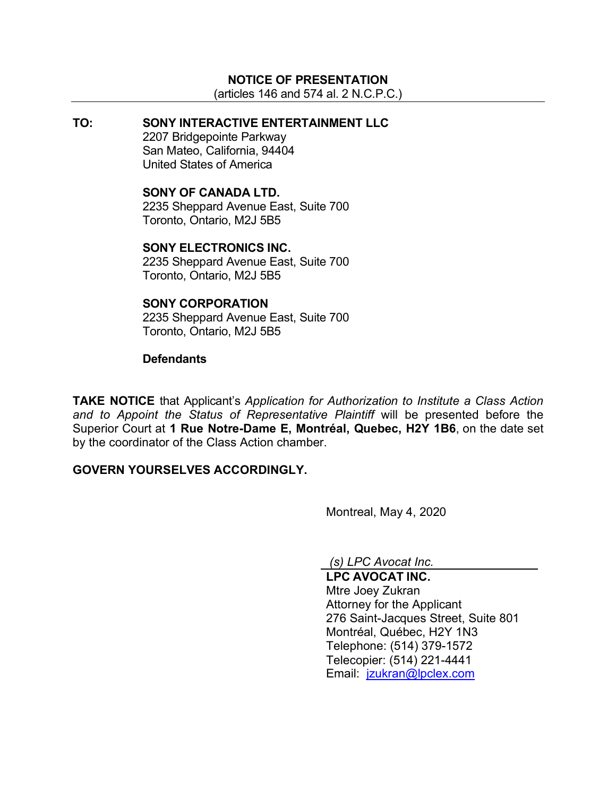#### **NOTICE OF PRESENTATION**

(articles 146 and 574 al. 2 N.C.P.C.)

#### **TO: SONY INTERACTIVE ENTERTAINMENT LLC** 2207 Bridgepointe Parkway San Mateo, California, 94404 United States of America

#### **SONY OF CANADA LTD.**

2235 Sheppard Avenue East, Suite 700 Toronto, Ontario, M2J 5B5

#### **SONY ELECTRONICS INC.**

2235 Sheppard Avenue East, Suite 700 Toronto, Ontario, M2J 5B5

#### **SONY CORPORATION**

2235 Sheppard Avenue East, Suite 700 Toronto, Ontario, M2J 5B5

#### **Defendants**

**TAKE NOTICE** that Applicant's *Application for Authorization to Institute a Class Action and to Appoint the Status of Representative Plaintiff* will be presented before the Superior Court at **1 Rue Notre-Dame E, Montréal, Quebec, H2Y 1B6**, on the date set by the coordinator of the Class Action chamber.

#### **GOVERN YOURSELVES ACCORDINGLY.**

Montreal, May 4, 2020

*(s) LPC Avocat Inc.*

**LPC AVOCAT INC.** Mtre Joey Zukran Attorney for the Applicant 276 Saint-Jacques Street, Suite 801 Montréal, Québec, H2Y 1N3 Telephone: (514) 379-1572 Telecopier: (514) 221-4441 Email: jzukran@lpclex.com